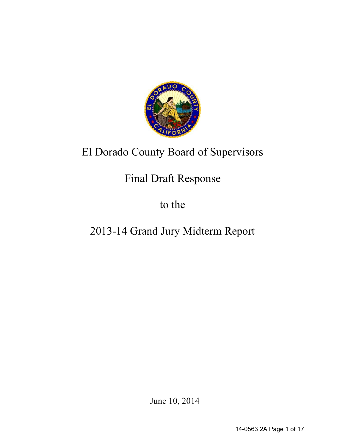

# El Dorado County Board of Supervisors

# Final Draft Response

to the

# 2013-14 Grand Jury Midterm Report

June 10, 2014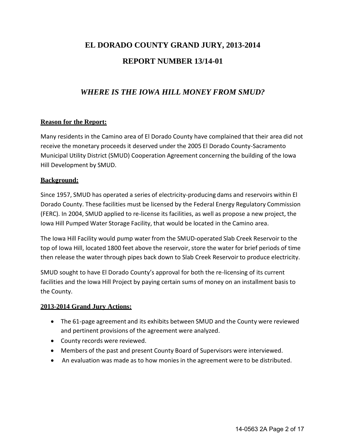# **EL DORADO COUNTY GRAND JURY, 2013-2014 REPORT NUMBER 13/14-01**

# *WHERE IS THE IOWA HILL MONEY FROM SMUD?*

# **Reason for the Report:**

Many residents in the Camino area of El Dorado County have complained that their area did not receive the monetary proceeds it deserved under the 2005 El Dorado County-Sacramento Municipal Utility District (SMUD) Cooperation Agreement concerning the building of the Iowa Hill Development by SMUD.

# **Background:**

Since 1957, SMUD has operated a series of electricity-producing dams and reservoirs within El Dorado County. These facilities must be licensed by the Federal Energy Regulatory Commission (FERC). In 2004, SMUD applied to re-license its facilities, as well as propose a new project, the Iowa Hill Pumped Water Storage Facility, that would be located in the Camino area.

The Iowa Hill Facility would pump water from the SMUD-operated Slab Creek Reservoir to the top of Iowa Hill, located 1800 feet above the reservoir, store the water for brief periods of time then release the water through pipes back down to Slab Creek Reservoir to produce electricity.

SMUD sought to have El Dorado County's approval for both the re-licensing of its current facilities and the Iowa Hill Project by paying certain sums of money on an installment basis to the County.

# **2013-2014 Grand Jury Actions:**

- The 61-page agreement and its exhibits between SMUD and the County were reviewed and pertinent provisions of the agreement were analyzed.
- County records were reviewed.
- Members of the past and present County Board of Supervisors were interviewed.
- An evaluation was made as to how monies in the agreement were to be distributed.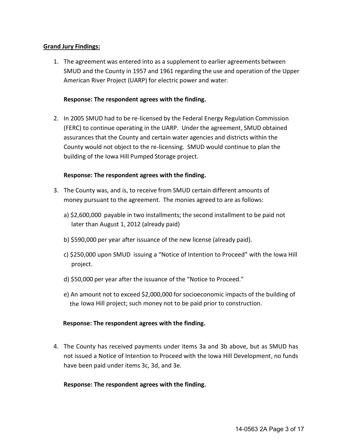### **Grand Jury Findings:**

1. The agreement was entered into as a supplement to earlier agreements between SMUD and the County in 1957 and 1961 regarding the use and operation of the Upper American River Project (UARP) for electric power and water.

### **Response: The respondent agrees with the finding.**

2. In 2005 SMUD had to be re-licensed by the Federal Energy Regulation Commission (FERC) to continue operating in the UARP. Under the agreement, SMUD obtained assurances that the County and certain water agencies and districts within the County would not object to the re-licensing. SMUD would continue to plan the building of the Iowa Hill Pumped Storage project.

### **Response: The respondent agrees with the finding.**

- 3. The County was, and is, to receive from SMUD certain different amounts of money pursuant to the agreement. The monies agreed to are as follows:
	- a) \$2,600,000 payable in two installments; the second installment to be paid not later than August 1, 2012 (already paid)
	- b) \$590,000 per year after issuance of the new license (already paid).
	- c) \$250,000 upon SMUD issuing a "Notice of Intention to Proceed" with the Iowa Hill project.
	- d) \$50,000 per year after the issuance of the "Notice to Proceed."
	- e) An amount not to exceed \$2,000,000 for socioeconomic impacts of the building of the Iowa Hill project; such money not to be paid prior to construction.

### **Response: The respondent agrees with the finding.**

4. The County has received payments under items 3a and 3b above, but as SMUD has not issued a Notice of Intention to Proceed with the Iowa Hill Development, no funds have been paid under items 3c, 3d, and 3e.

### **Response: The respondent agrees with the finding.**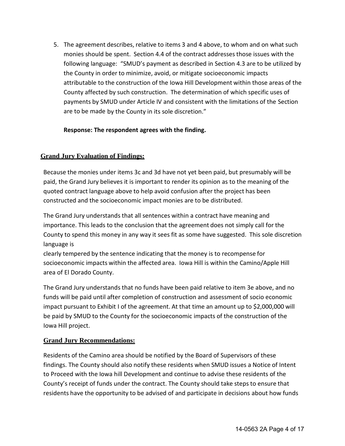5. The agreement describes, relative to items 3 and 4 above, to whom and on what such monies should be spent. Section 4.4 of the contract addresses those issues with the following language: "SMUD's payment as described in Section 4.3 are to be utilized by the County in order to minimize, avoid, or mitigate socioeconomic impacts attributable to the construction of the Iowa Hill Development within those areas of the County affected by such construction. The determination of which specific uses of payments by SMUD under Article IV and consistent with the limitations of the Section are to be made by the County in its sole discretion."

# **Response: The respondent agrees with the finding.**

# **Grand Jury Evaluation of Findings:**

Because the monies under items 3c and 3d have not yet been paid, but presumably will be paid, the Grand Jury believes it is important to render its opinion as to the meaning of the quoted contract language above to help avoid confusion after the project has been constructed and the socioeconomic impact monies are to be distributed.

The Grand Jury understands that all sentences within a contract have meaning and importance. This leads to the conclusion that the agreement does not simply call for the County to spend this money in any way it sees fit as some have suggested. This sole discretion language is

clearly tempered by the sentence indicating that the money is to recompense for socioeconomic impacts within the affected area. Iowa Hill is within the Camino/Apple Hill area of El Dorado County.

The Grand Jury understands that no funds have been paid relative to item 3e above, and no funds will be paid until after completion of construction and assessment of socio economic impact pursuant to Exhibit I of the agreement. At that time an amount up to \$2,000,000 will be paid by SMUD to the County for the socioeconomic impacts of the construction of the Iowa Hill project.

# **Grand Jury Recommendations:**

Residents of the Camino area should be notified by the Board of Supervisors of these findings. The County should also notify these residents when SMUD issues a Notice of Intent to Proceed with the Iowa hill Development and continue to advise these residents of the County's receipt of funds under the contract. The County should take steps to ensure that residents have the opportunity to be advised of and participate in decisions about how funds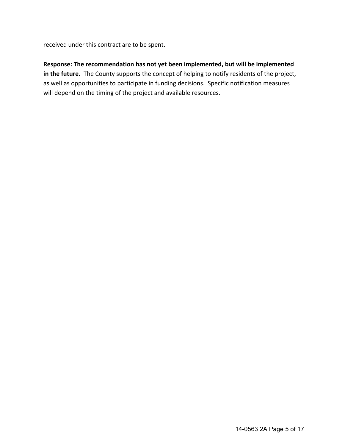received under this contract are to be spent.

# **Response: The recommendation has not yet been implemented, but will be implemented in the future.** The County supports the concept of helping to notify residents of the project, as well as opportunities to participate in funding decisions. Specific notification measures will depend on the timing of the project and available resources.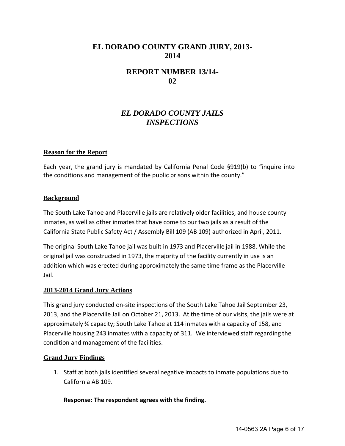# **EL DORADO COUNTY GRAND JURY, 2013- 2014**

# **REPORT NUMBER 13/14- 02**

# *EL DORADO COUNTY JAILS INSPECTIONS*

### **Reason for the Report**

Each year, the grand jury is mandated by California Penal Code §919(b) to "inquire into the conditions and management of the public prisons within the county."

#### **Background**

The South Lake Tahoe and Placerville jails are relatively older facilities, and house county inmates, as well as other inmates that have come to our two jails as a result of the California State Public Safety Act / Assembly Bill 109 (AB 109) authorized in April, 2011.

The original South Lake Tahoe jail was built in 1973 and Placerville jail in 1988. While the original jail was constructed in 1973, the majority of the facility currently in use is an addition which was erected during approximately the same time frame as the Placerville Jail.

### **2013-2014 Grand Jury Actions**

This grand jury conducted on-site inspections of the South Lake Tahoe Jail September 23, 2013, and the Placerville Jail on October 21, 2013. At the time of our visits, the jails were at approximately ¾ capacity; South Lake Tahoe at 114 inmates with a capacity of 158, and Placerville housing 243 inmates with a capacity of 311. We interviewed staff regarding the condition and management of the facilities.

### **Grand Jury Findings**

1. Staff at both jails identified several negative impacts to inmate populations due to California AB 109.

**Response: The respondent agrees with the finding.**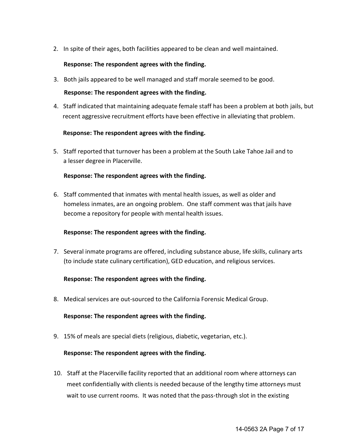2. In spite of their ages, both facilities appeared to be clean and well maintained.

## **Response: The respondent agrees with the finding.**

3. Both jails appeared to be well managed and staff morale seemed to be good.

## **Response: The respondent agrees with the finding.**

4. Staff indicated that maintaining adequate female staff has been a problem at both jails, but recent aggressive recruitment efforts have been effective in alleviating that problem.

## **Response: The respondent agrees with the finding.**

5. Staff reported that turnover has been a problem at the South Lake Tahoe Jail and to a lesser degree in Placerville.

## **Response: The respondent agrees with the finding.**

6. Staff commented that inmates with mental health issues, as well as older and homeless inmates, are an ongoing problem. One staff comment was that jails have become a repository for people with mental health issues.

# **Response: The respondent agrees with the finding.**

7. Several inmate programs are offered, including substance abuse, life skills, culinary arts (to include state culinary certification), GED education, and religious services.

# **Response: The respondent agrees with the finding.**

8. Medical services are out-sourced to the California Forensic Medical Group.

### **Response: The respondent agrees with the finding.**

9. 15% of meals are special diets (religious, diabetic, vegetarian, etc.).

### **Response: The respondent agrees with the finding.**

10. Staff at the Placerville facility reported that an additional room where attorneys can meet confidentially with clients is needed because of the lengthy time attorneys must wait to use current rooms. It was noted that the pass-through slot in the existing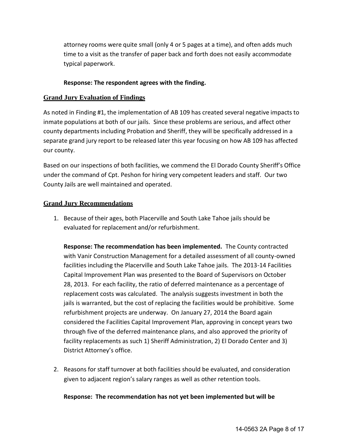attorney rooms were quite small (only 4 or 5 pages at a time), and often adds much time to a visit as the transfer of paper back and forth does not easily accommodate typical paperwork.

## **Response: The respondent agrees with the finding.**

## **Grand Jury Evaluation of Findings**

As noted in Finding #1, the implementation of AB 109 has created several negative impacts to inmate populations at both of our jails. Since these problems are serious, and affect other county departments including Probation and Sheriff, they will be specifically addressed in a separate grand jury report to be released later this year focusing on how AB 109 has affected our county.

Based on our inspections of both facilities, we commend the El Dorado County Sheriff's Office under the command of Cpt. Peshon for hiring very competent leaders and staff. Our two County Jails are well maintained and operated.

## **Grand Jury Recommendations**

1. Because of their ages, both Placerville and South Lake Tahoe jails should be evaluated for replacement and/or refurbishment.

**Response: The recommendation has been implemented.** The County contracted with Vanir Construction Management for a detailed assessment of all county-owned facilities including the Placerville and South Lake Tahoe jails. The 2013-14 Facilities Capital Improvement Plan was presented to the Board of Supervisors on October 28, 2013. For each facility, the ratio of deferred maintenance as a percentage of replacement costs was calculated. The analysis suggests investment in both the jails is warranted, but the cost of replacing the facilities would be prohibitive. Some refurbishment projects are underway. On January 27, 2014 the Board again considered the Facilities Capital Improvement Plan, approving in concept years two through five of the deferred maintenance plans, and also approved the priority of facility replacements as such 1) Sheriff Administration, 2) El Dorado Center and 3) District Attorney's office.

2. Reasons for staff turnover at both facilities should be evaluated, and consideration given to adjacent region's salary ranges as well as other retention tools.

# **Response: The recommendation has not yet been implemented but will be**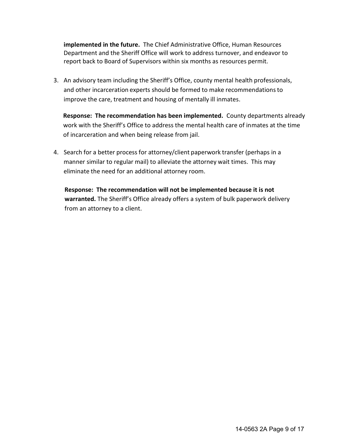**implemented in the future.** The Chief Administrative Office, Human Resources Department and the Sheriff Office will work to address turnover, and endeavor to report back to Board of Supervisors within six months as resources permit.

3. An advisory team including the Sheriff's Office, county mental health professionals, and other incarceration experts should be formed to make recommendations to improve the care, treatment and housing of mentally ill inmates.

 **Response: The recommendation has been implemented.** County departments already work with the Sheriff's Office to address the mental health care of inmates at the time of incarceration and when being release from jail.

4. Search for a better process for attorney/client paperwork transfer (perhaps in a manner similar to regular mail) to alleviate the attorney wait times. This may eliminate the need for an additional attorney room.

**Response: The recommendation will not be implemented because it is not warranted.** The Sheriff's Office already offers a system of bulk paperwork delivery from an attorney to a client.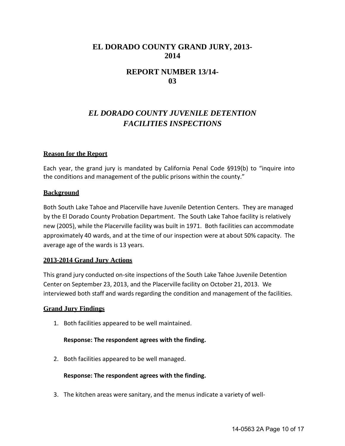# **EL DORADO COUNTY GRAND JURY, 2013- 2014**

# **REPORT NUMBER 13/14- 03**

# *EL DORADO COUNTY JUVENILE DETENTION FACILITIES INSPECTIONS*

### **Reason for the Report**

Each year, the grand jury is mandated by California Penal Code §919(b) to "inquire into the conditions and management of the public prisons within the county."

### **Background**

Both South Lake Tahoe and Placerville have Juvenile Detention Centers. They are managed by the El Dorado County Probation Department. The South Lake Tahoe facility is relatively new (2005), while the Placerville facility was built in 1971. Both facilities can accommodate approximately 40 wards, and at the time of our inspection were at about 50% capacity. The average age of the wards is 13 years.

### **2013-2014 Grand Jury Actions**

This grand jury conducted on-site inspections of the South Lake Tahoe Juvenile Detention Center on September 23, 2013, and the Placerville facility on October 21, 2013. We interviewed both staff and wards regarding the condition and management of the facilities.

#### **Grand Jury Findings**

1. Both facilities appeared to be well maintained.

### **Response: The respondent agrees with the finding.**

2. Both facilities appeared to be well managed.

#### **Response: The respondent agrees with the finding.**

3. The kitchen areas were sanitary, and the menus indicate a variety of well-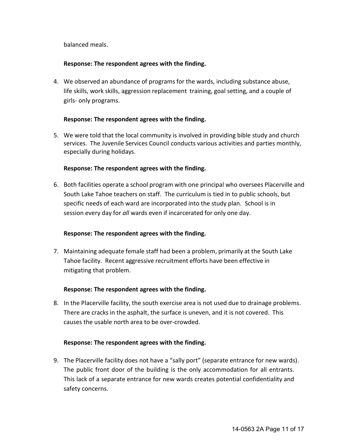balanced meals.

## **Response: The respondent agrees with the finding.**

4. We observed an abundance of programs for the wards, including substance abuse, life skills, work skills, aggression replacement training, goal setting, and a couple of girls- only programs.

## **Response: The respondent agrees with the finding.**

5. We were told that the local community is involved in providing bible study and church services. The Juvenile Services Council conducts various activities and parties monthly, especially during holidays.

### **Response: The respondent agrees with the finding.**

6. Both facilities operate a school program with one principal who oversees Placerville and South Lake Tahoe teachers on staff. The curriculum is tied in to public schools, but specific needs of each ward are incorporated into the study plan. School is in session every day for *all* wards even if incarcerated for only one day.

# **Response: The respondent agrees with the finding.**

7. Maintaining adequate female staff had been a problem, primarily at the South Lake Tahoe facility. Recent aggressive recruitment efforts have been effective in mitigating that problem.

# **Response: The respondent agrees with the finding.**

8. In the Placerville facility, the south exercise area is not used due to drainage problems. There are cracks in the asphalt, the surface is uneven, and it is not covered. This causes the usable north area to be over-crowded.

### **Response: The respondent agrees with the finding.**

9. The Placerville facility does not have a "sally port" (separate entrance for new wards). The public front door of the building is the only accommodation for all entrants. This lack of a separate entrance for new wards creates potential confidentiality and safety concerns.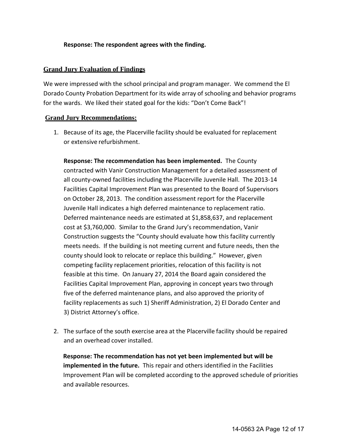## **Response: The respondent agrees with the finding.**

## **Grand Jury Evaluation of Findings**

We were impressed with the school principal and program manager. We commend the El Dorado County Probation Department for its wide array of schooling and behavior programs for the wards. We liked their stated goal for the kids: "Don't Come Back"!

## **Grand Jury Recommendations:**

1. Because of its age, the Placerville facility should be evaluated for replacement or extensive refurbishment.

**Response: The recommendation has been implemented.** The County contracted with Vanir Construction Management for a detailed assessment of all county-owned facilities including the Placerville Juvenile Hall. The 2013-14 Facilities Capital Improvement Plan was presented to the Board of Supervisors on October 28, 2013. The condition assessment report for the Placerville Juvenile Hall indicates a high deferred maintenance to replacement ratio. Deferred maintenance needs are estimated at \$1,858,637, and replacement cost at \$3,760,000. Similar to the Grand Jury's recommendation, Vanir Construction suggests the "County should evaluate how this facility currently meets needs. If the building is not meeting current and future needs, then the county should look to relocate or replace this building." However, given competing facility replacement priorities, relocation of this facility is not feasible at this time. On January 27, 2014 the Board again considered the Facilities Capital Improvement Plan, approving in concept years two through five of the deferred maintenance plans, and also approved the priority of facility replacements as such 1) Sheriff Administration, 2) El Dorado Center and 3) District Attorney's office.

2. The surface of the south exercise area at the Placerville facility should be repaired and an overhead cover installed.

 **Response: The recommendation has not yet been implemented but will be implemented in the future.** This repair and others identified in the Facilities Improvement Plan will be completed according to the approved schedule of priorities and available resources.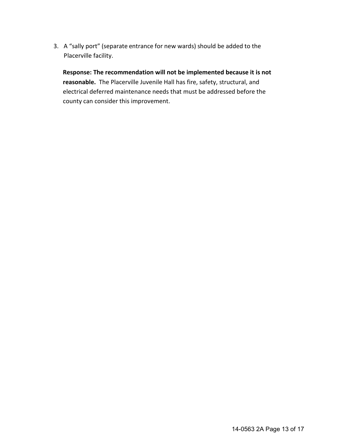3. A "sally port" (separate entrance for new wards) should be added to the Placerville facility.

**Response: The recommendation will not be implemented because it is not reasonable.** The Placerville Juvenile Hall has fire, safety, structural, and electrical deferred maintenance needs that must be addressed before the county can consider this improvement.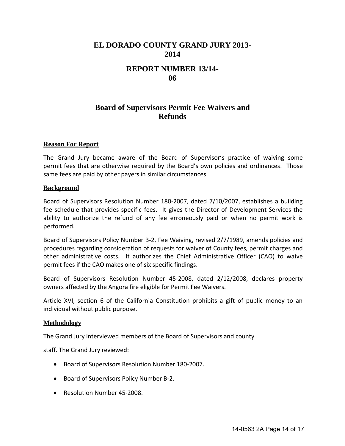# **EL DORADO COUNTY GRAND JURY 2013- 2014**

# **REPORT NUMBER 13/14- 06**

# **Board of Supervisors Permit Fee Waivers and Refunds**

### **Reason For Report**

The Grand Jury became aware of the Board of Supervisor's practice of waiving some permit fees that are otherwise required by the Board's own policies and ordinances. Those same fees are paid by other payers in similar circumstances.

#### **Background**

Board of Supervisors Resolution Number 180-2007, dated 7/10/2007, establishes a building fee schedule that provides specific fees. It gives the Director of Development Services the ability to authorize the refund of any fee erroneously paid or when no permit work is performed.

Board of Supervisors Policy Number B-2, Fee Waiving, revised 2/7/1989, amends policies and procedures regarding consideration of requests for waiver of County fees, permit charges and other administrative costs. It authorizes the Chief Administrative Officer (CAO) to waive permit fees if the CAO makes one of six specific findings.

Board of Supervisors Resolution Number 45-2008, dated 2/12/2008, declares property owners affected by the Angora fire eligible for Permit Fee Waivers.

Article XVI, section 6 of the California Constitution prohibits a gift of public money to an individual without public purpose.

#### **Methodology**

The Grand Jury interviewed members of the Board of Supervisors and county

staff. The Grand Jury reviewed:

- Board of Supervisors Resolution Number 180-2007.
- Board of Supervisors Policy Number B-2.
- Resolution Number 45-2008.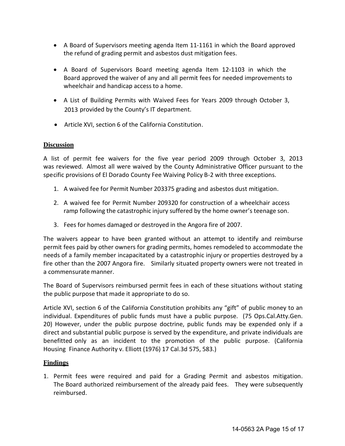- A Board of Supervisors meeting agenda Item 11-1161 in which the Board approved the refund of grading permit and asbestos dust mitigation fees.
- A Board of Supervisors Board meeting agenda Item 12-1103 in which the Board approved the waiver of any and all permit fees for needed improvements to wheelchair and handicap access to a home.
- A List of Building Permits with Waived Fees for Years 2009 through October 3, 2013 provided by the County's IT department.
- Article XVI, section 6 of the California Constitution.

## **Discussion**

A list of permit fee waivers for the five year period 2009 through October 3, 2013 was reviewed. Almost all were waived by the County Administrative Officer pursuant to the specific provisions of El Dorado County Fee Waiving Policy B-2 with three exceptions.

- 1. A waived fee for Permit Number 203375 grading and asbestos dust mitigation.
- 2. A waived fee for Permit Number 209320 for construction of a wheelchair access ramp following the catastrophic injury suffered by the home owner's teenage son.
- 3. Fees for homes damaged or destroyed in the Angora fire of 2007.

The waivers appear to have been granted without an attempt to identify and reimburse permit fees paid by other owners for grading permits, homes remodeled to accommodate the needs of a family member incapacitated by a catastrophic injury or properties destroyed by a fire other than the 2007 Angora fire. Similarly situated property owners were not treated in a commensurate manner.

The Board of Supervisors reimbursed permit fees in each of these situations without stating the public purpose that made it appropriate to do so.

Article XVI, section 6 of the California Constitution prohibits any "gift" of public money to an individual. Expenditures of public funds must have a public purpose. (75 Ops.Cal.Atty.Gen. 20) However, under the public purpose doctrine, public funds may be expended only if a direct and substantial public purpose is served by the expenditure, and private individuals are benefitted only as an incident to the promotion of the public purpose. (California Housing Finance Authority v. Elliott (1976) 17 Cal.3d 575, 583.)

# **Findings**

1. Permit fees were required and paid for a Grading Permit and asbestos mitigation. The Board authorized reimbursement of the already paid fees. They were subsequently reimbursed.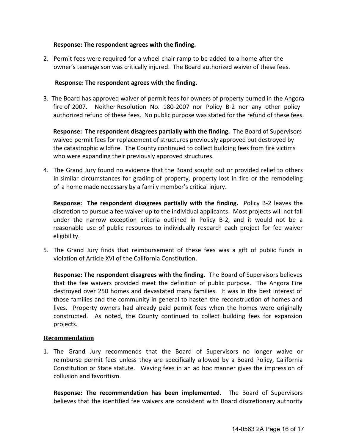### **Response: The respondent agrees with the finding.**

2. Permit fees were required for a wheel chair ramp to be added to a home after the owner's teenage son was critically injured. The Board authorized waiver of these fees.

#### **Response: The respondent agrees with the finding.**

3. The Board has approved waiver of permit fees for owners of property burned in the Angora fire of 2007. Neither Resolution No. 180-2007 nor Policy B-2 nor any other policy authorized refund of these fees. No public purpose was stated for the refund of these fees.

**Response: The respondent disagrees partially with the finding.** The Board of Supervisors waived permit fees for replacement of structures previously approved but destroyed by the catastrophic wildfire. The County continued to collect building fees from fire victims who were expanding their previously approved structures.

4. The Grand Jury found no evidence that the Board sought out or provided relief to others in similar circumstances for grading of property, property lost in fire or the remodeling of a home made necessary by a family member's critical injury.

 **Response: The respondent disagrees partially with the finding.** Policy B-2 leaves the discretion to pursue a fee waiver up to the individual applicants. Most projects will not fall under the narrow exception criteria outlined in Policy B-2, and it would not be a reasonable use of public resources to individually research each project for fee waiver eligibility.

5. The Grand Jury finds that reimbursement of these fees was a gift of public funds in violation of Article XVI of the California Constitution.

**Response: The respondent disagrees with the finding.** The Board of Supervisors believes that the fee waivers provided meet the definition of public purpose. The Angora Fire destroyed over 250 homes and devastated many families. It was in the best interest of those families and the community in general to hasten the reconstruction of homes and lives. Property owners had already paid permit fees when the homes were originally constructed. As noted, the County continued to collect building fees for expansion projects.

### **Recommendation**

1. The Grand Jury recommends that the Board of Supervisors no longer waive or reimburse permit fees unless they are specifically allowed by a Board Policy, California Constitution or State statute. Waving fees in an ad hoc manner gives the impression of collusion and favoritism.

**Response: The recommendation has been implemented.** The Board of Supervisors believes that the identified fee waivers are consistent with Board discretionary authority